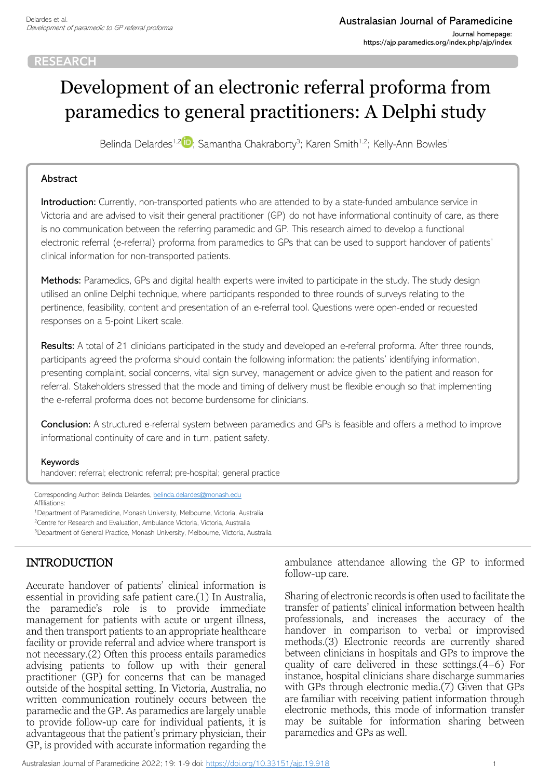#### **RESEARCH**

# Development of an electronic referral proforma from paramedics to general practitioners: A Delphi study

Belinda Delardes<sup>1,[2](https://orcid.org/0000-0001-8966-5858)</sup><sup>10</sup>; Samantha Chakraborty<sup>3</sup>; Karen Smith<sup>1,2</sup>; Kelly-Ann Bowles<sup>1</sup>

#### Abstract

Introduction: Currently, non-transported patients who are attended to by a state-funded ambulance service in Victoria and are advised to visit their general practitioner (GP) do not have informational continuity of care, as there is no communication between the referring paramedic and GP. This research aimed to develop a functional electronic referral (e-referral) proforma from paramedics to GPs that can be used to support handover of patients' clinical information for non-transported patients.

Methods: Paramedics, GPs and digital health experts were invited to participate in the study. The study design utilised an online Delphi technique, where participants responded to three rounds of surveys relating to the pertinence, feasibility, content and presentation of an e-referral tool. Questions were open-ended or requested responses on a 5-point Likert scale.

Results: A total of 21 clinicians participated in the study and developed an e-referral proforma. After three rounds, participants agreed the proforma should contain the following information: the patients' identifying information, presenting complaint, social concerns, vital sign survey, management or advice given to the patient and reason for referral. Stakeholders stressed that the mode and timing of delivery must be flexible enough so that implementing the e-referral proforma does not become burdensome for clinicians.

Conclusion: A structured e-referral system between paramedics and GPs is feasible and offers a method to improve informational continuity of care and in turn, patient safety.

#### Keywords

handover; referral; electronic referral; pre-hospital; general practice

Corresponding Author: Belinda Delardes, [belinda.delardes@monash.edu](mailto:belinda.delardes@monash.edu) Affiliations:

<sup>1</sup>Department of Paramedicine, Monash University, Melbourne, Victoria, Australia <sup>2</sup>Centre for Research and Evaluation, Ambulance Victoria, Victoria, Australia <sup>3</sup>Department of General Practice, Monash University, Melbourne, Victoria, Australia

# INTRODUCTION

Accurate handover of patients' clinical information is essential in providing safe patient care.(1) In Australia, the paramedic's role is to provide immediate management for patients with acute or urgent illness, and then transport patients to an appropriate healthcare facility or provide referral and advice where transport is not necessary.(2) Often this process entails paramedics advising patients to follow up with their general practitioner (GP) for concerns that can be managed outside of the hospital setting. In Victoria, Australia, no written communication routinely occurs between the paramedic and the GP. As paramedics are largely unable to provide follow-up care for individual patients, it is advantageous that the patient's primary physician, their GP, is provided with accurate information regarding the

ambulance attendance allowing the GP to informed follow-up care.

Sharing of electronic records is often used to facilitate the transfer of patients' clinical information between health professionals, and increases the accuracy of the handover in comparison to verbal or improvised methods.(3) Electronic records are currently shared between clinicians in hospitals and GPs to improve the quality of care delivered in these settings. $(4-6)$  For instance, hospital clinicians share discharge summaries with GPs through electronic media.(7) Given that GPs are familiar with receiving patient information through electronic methods, this mode of information transfer may be suitable for information sharing between paramedics and GPs as well.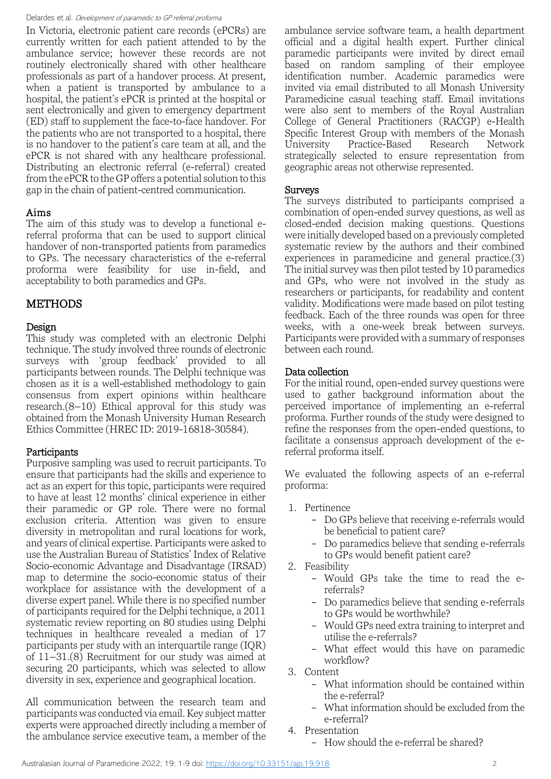In Victoria, electronic patient care records (ePCRs) are currently written for each patient attended to by the ambulance service; however these records are not routinely electronically shared with other healthcare professionals as part of a handover process. At present, when a patient is transported by ambulance to a hospital, the patient's ePCR is printed at the hospital or sent electronically and given to emergency department (ED) staff to supplement the face-to-face handover. For the patients who are not transported to a hospital, there is no handover to the patient's care team at all, and the ePCR is not shared with any healthcare professional. Distributing an electronic referral (e-referral) created from the ePCR to the GP offers a potential solution to this gap in the chain of patient-centred communication.

## Aims

The aim of this study was to develop a functional ereferral proforma that can be used to support clinical handover of non-transported patients from paramedics to GPs. The necessary characteristics of the e-referral proforma were feasibility for use in-field, and acceptability to both paramedics and GPs.

# METHODS

## Design

This study was completed with an electronic Delphi technique. The study involved three rounds of electronic surveys with 'group feedback' provided to all participants between rounds. The Delphi technique was chosen as it is a well-established methodology to gain consensus from expert opinions within healthcare research.(8–10) Ethical approval for this study was obtained from the Monash University Human Research Ethics Committee (HREC ID: 2019-16818-30584).

## Participants

Purposive sampling was used to recruit participants. To ensure that participants had the skills and experience to act as an expert for this topic, participants were required to have at least 12 months' clinical experience in either their paramedic or GP role. There were no formal exclusion criteria. Attention was given to ensure diversity in metropolitan and rural locations for work, and years of clinical expertise. Participants were asked to use the Australian Bureau of Statistics' Index of Relative Socio-economic Advantage and Disadvantage (IRSAD) map to determine the socio-economic status of their workplace for assistance with the development of a diverse expert panel. While there is no specified number of participants required for the Delphi technique, a 2011 systematic review reporting on 80 studies using Delphi techniques in healthcare revealed a median of 17 participants per study with an interquartile range (IQR) of 11–31.(8) Recruitment for our study was aimed at securing 20 participants, which was selected to allow diversity in sex, experience and geographical location.

All communication between the research team and participants was conducted via email. Key subject matter experts were approached directly including a member of the ambulance service executive team, a member of the

ambulance service software team, a health department official and a digital health expert. Further clinical paramedic participants were invited by direct email based on random sampling of their employee identification number. Academic paramedics were invited via email distributed to all Monash University Paramedicine casual teaching staff. Email invitations were also sent to members of the Royal Australian College of General Practitioners (RACGP) e-Health Specific Interest Group with members of the Monash University Practice-Based Research Network strategically selected to ensure representation from geographic areas not otherwise represented.

## Surveys

The surveys distributed to participants comprised a combination of open-ended survey questions, as well as closed-ended decision making questions. Questions were initially developed based on a previously completed systematic review by the authors and their combined experiences in paramedicine and general practice.(3) The initial survey was then pilot tested by 10 paramedics and GPs, who were not involved in the study as researchers or participants, for readability and content validity. Modifications were made based on pilot testing feedback. Each of the three rounds was open for three weeks, with a one-week break between surveys. Participants were provided with a summary of responses between each round.

## Data collection

For the initial round, open-ended survey questions were used to gather background information about the perceived importance of implementing an e-referral proforma. Further rounds of the study were designed to refine the responses from the open-ended questions, to facilitate a consensus approach development of the ereferral proforma itself.

We evaluated the following aspects of an e-referral proforma:

- 1. Pertinence
	- Do GPs believe that receiving e-referrals would be beneficial to patient care?
	- Do paramedics believe that sending e-referrals to GPs would benefit patient care?
- 2. Feasibility
	- Would GPs take the time to read the ereferrals?
	- Do paramedics believe that sending e-referrals to GPs would be worthwhile?
	- Would GPs need extra training to interpret and utilise the e-referrals?
	- What effect would this have on paramedic workflow?
- 3. Content
	- What information should be contained within the e-referral?
	- What information should be excluded from the e-referral?
- 4. Presentation
	- How should the e-referral be shared?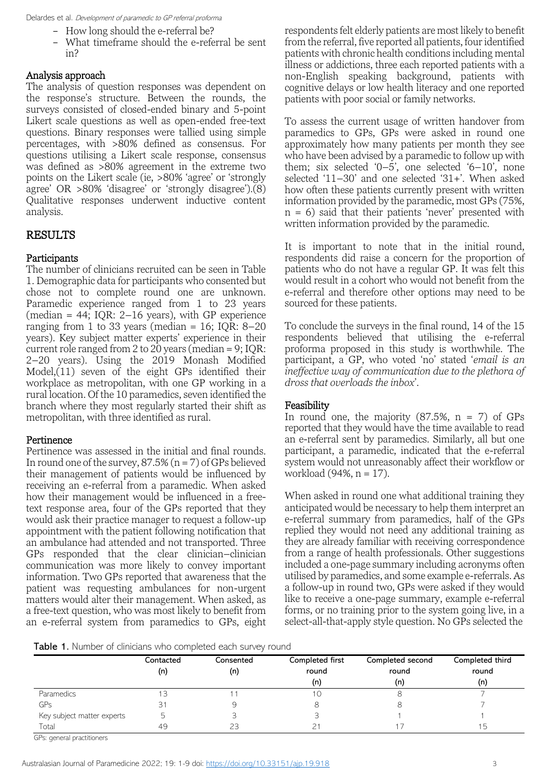- How long should the e-referral be?
- What timeframe should the e-referral be sent in?

#### Analysis approach

The analysis of question responses was dependent on the response's structure. Between the rounds, the surveys consisted of closed-ended binary and 5-point Likert scale questions as well as open-ended free-text questions. Binary responses were tallied using simple percentages, with >80% defined as consensus. For questions utilising a Likert scale response, consensus was defined as >80% agreement in the extreme two points on the Likert scale (ie, >80% 'agree' or 'strongly agree' OR >80% 'disagree' or 'strongly disagree').(8) Qualitative responses underwent inductive content analysis.

# RESULTS

## Participants

The number of clinicians recruited can be seen in Table 1. Demographic data for participants who consented but chose not to complete round one are unknown. Paramedic experience ranged from 1 to 23 years (median  $= 44$ ; IQR: 2–16 years), with GP experience ranging from 1 to 33 years (median = 16; IQR:  $8-20$ years). Key subject matter experts' experience in their current role ranged from 2 to 20 years (median = 9; IQR: 2–20 years). Using the 2019 Monash Modified  $Model$ , $(11)$  seven of the eight GPs identified their workplace as metropolitan, with one GP working in a rural location. Of the 10 paramedics, seven identified the branch where they most regularly started their shift as metropolitan, with three identified as rural.

## Pertinence

Pertinence was assessed in the initial and final rounds. In round one of the survey,  $87.5\%$  (n = 7) of GPs believed their management of patients would be influenced by receiving an e-referral from a paramedic. When asked how their management would be influenced in a freetext response area, four of the GPs reported that they would ask their practice manager to request a follow-up appointment with the patient following notification that an ambulance had attended and not transported. Three GPs responded that the clear clinician–clinician communication was more likely to convey important information. Two GPs reported that awareness that the patient was requesting ambulances for non-urgent matters would alter their management. When asked, as a free-text question, who was most likely to benefit from an e-referral system from paramedics to GPs, eight respondents felt elderly patients are most likely to benefit from the referral, five reported all patients, four identified patients with chronic health conditions including mental illness or addictions, three each reported patients with a non-English speaking background, patients with cognitive delays or low health literacy and one reported patients with poor social or family networks.

To assess the current usage of written handover from paramedics to GPs, GPs were asked in round one approximately how many patients per month they see who have been advised by a paramedic to follow up with them; six selected  $(0-5)$ , one selected  $(6-10)$ , none selected '11–30' and one selected '31+'. When asked how often these patients currently present with written information provided by the paramedic, most GPs (75%,  $n = 6$ ) said that their patients 'never' presented with written information provided by the paramedic.

It is important to note that in the initial round, respondents did raise a concern for the proportion of patients who do not have a regular GP. It was felt this would result in a cohort who would not benefit from the e-referral and therefore other options may need to be sourced for these patients.

To conclude the surveys in the final round, 14 of the 15 respondents believed that utilising the e-referral proforma proposed in this study is worthwhile. The participant, a GP, who voted 'no' stated '*email is an ineffective way of communication due to the plethora of dross that overloads the inbox*'.

## Feasibility

In round one, the majority  $(87.5\%, n = 7)$  of GPs reported that they would have the time available to read an e-referral sent by paramedics. Similarly, all but one participant, a paramedic, indicated that the e-referral system would not unreasonably affect their workflow or workload (94%, n = 17).

When asked in round one what additional training they anticipated would be necessary to help them interpret an e-referral summary from paramedics, half of the GPs replied they would not need any additional training as they are already familiar with receiving correspondence from a range of health professionals. Other suggestions included a one-page summary including acronyms often utilised by paramedics, and some example e-referrals. As a follow-up in round two, GPs were asked if they would like to receive a one-page summary, example e-referral forms, or no training prior to the system going live, in a select-all-that-apply style question. No GPs selected the

Table 1. Number of clinicians who completed each survey round

|                            | Contacted<br>(n) | Consented<br>(n) | Completed first<br>round<br>(n) | Completed second<br>round<br>(n) | Completed third<br>round<br>(n) |
|----------------------------|------------------|------------------|---------------------------------|----------------------------------|---------------------------------|
| Paramedics                 |                  |                  |                                 |                                  |                                 |
| GPs                        |                  |                  |                                 |                                  |                                 |
| Key subject matter experts | ∽                |                  |                                 |                                  |                                 |
| Total                      | 49               | 23               |                                 |                                  | ל ו                             |

GPs: general practitioners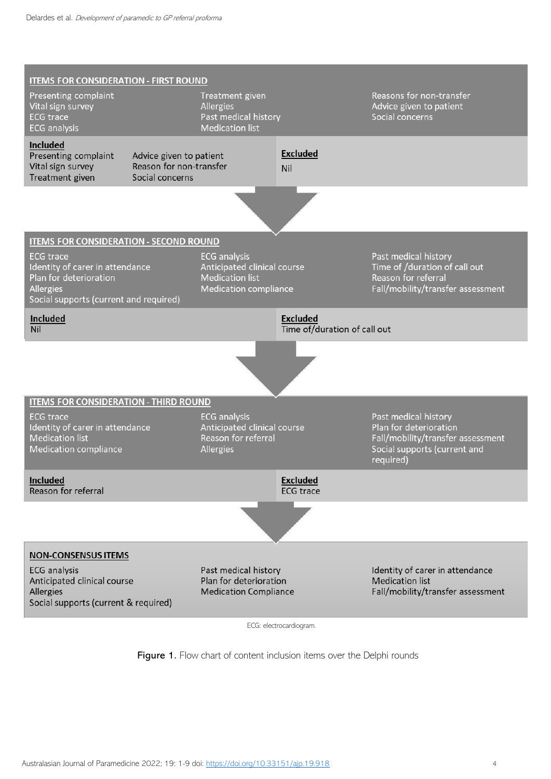

ECG: electrocardiogram.

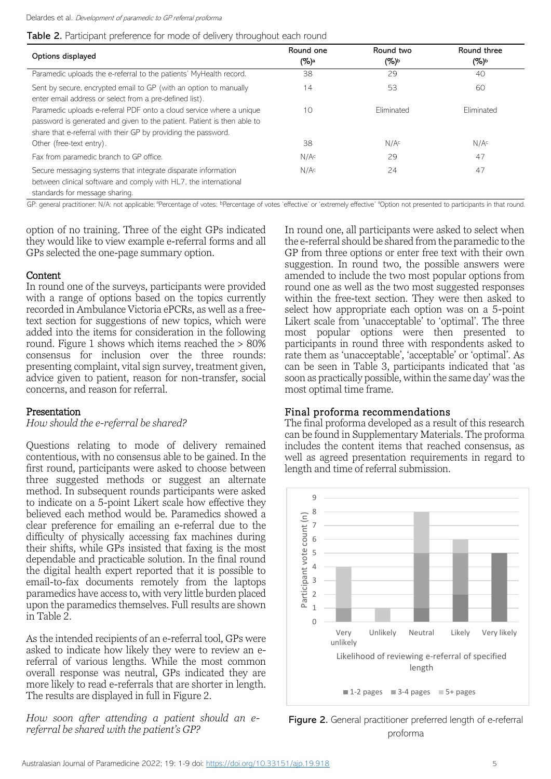Table 2. Participant preference for mode of delivery throughout each round

| Options displayed                                                                                                                                                                                                 | Round one<br>$(\%)^a$ | Round two<br>$(\%)^{\rm b}$ | Round three<br>$(\%)^b$ |
|-------------------------------------------------------------------------------------------------------------------------------------------------------------------------------------------------------------------|-----------------------|-----------------------------|-------------------------|
| Paramedic uploads the e-referral to the patients' MyHealth record.                                                                                                                                                | 38                    | 29                          | 40                      |
| Sent by secure, encrypted email to GP (with an option to manually<br>enter email address or select from a pre-defined list).                                                                                      | 14                    | 53                          | 60                      |
| Paramedic uploads e-referral PDF onto a cloud service where a unique<br>password is generated and given to the patient. Patient is then able to<br>share that e-referral with their GP by providing the password. | 10                    | Fliminated                  | Fliminated              |
| Other (free-text entry).                                                                                                                                                                                          | 38                    | N/A <sup>c</sup>            | N/A <sup>c</sup>        |
| Fax from paramedic branch to GP office.                                                                                                                                                                           | N/A <sup>c</sup>      | 29                          | 47                      |
| Secure messaging systems that integrate disparate information<br>between clinical software and comply with HL7, the international<br>المتمادح والمنتجب والمتحدث والمتواط والمتحالف والمناقص                       | N/A <sup>c</sup>      | 24                          | 47                      |

standards for message sharing.

GP: general practitioner; N/A: not applicable; <sup>a</sup>Percentage of votes; <sup>b</sup>Percentage of votes 'effective' or 'extremely effective' <sup>a</sup>Option not presented to participants in that round.

option of no training. Three of the eight GPs indicated they would like to view example e-referral forms and all GPs selected the one-page summary option.

#### Content

In round one of the surveys, participants were provided with a range of options based on the topics currently recorded in Ambulance Victoria ePCRs, as well as a freetext section for suggestions of new topics, which were added into the items for consideration in the following round. Figure 1 shows which items reached the  $> 80\%$ consensus for inclusion over the three rounds: presenting complaint, vital sign survey, treatment given, advice given to patient, reason for non-transfer, social concerns, and reason for referral.

## Presentation

*How should the e-referral be shared?*

Questions relating to mode of delivery remained contentious, with no consensus able to be gained. In the first round, participants were asked to choose between three suggested methods or suggest an alternate method. In subsequent rounds participants were asked to indicate on a 5-point Likert scale how effective they believed each method would be. Paramedics showed a clear preference for emailing an e-referral due to the difficulty of physically accessing fax machines during their shifts, while GPs insisted that faxing is the most dependable and practicable solution. In the final round the digital health expert reported that it is possible to email-to-fax documents remotely from the laptops paramedics have access to, with very little burden placed upon the paramedics themselves. Full results are shown in Table 2.

As the intended recipients of an e-referral tool, GPs were asked to indicate how likely they were to review an ereferral of various lengths. While the most common overall response was neutral, GPs indicated they are more likely to read e-referrals that are shorter in length. The results are displayed in full in Figure 2.

*How soon after attending a patient should an ereferral be shared with the patient's GP?* 

In round one, all participants were asked to select when the e-referral should be shared from the paramedic to the GP from three options or enter free text with their own suggestion. In round two, the possible answers were amended to include the two most popular options from round one as well as the two most suggested responses within the free-text section. They were then asked to select how appropriate each option was on a 5-point Likert scale from 'unacceptable' to 'optimal'. The three most popular options were then presented to participants in round three with respondents asked to rate them as 'unacceptable', 'acceptable' or 'optimal'. As can be seen in Table 3, participants indicated that 'as soon as practically possible, within the same day' was the most optimal time frame.

# Final proforma recommendations

The final proforma developed as a result of this research can be found in Supplementary Materials. The proforma includes the content items that reached consensus, as well as agreed presentation requirements in regard to length and time of referral submission.



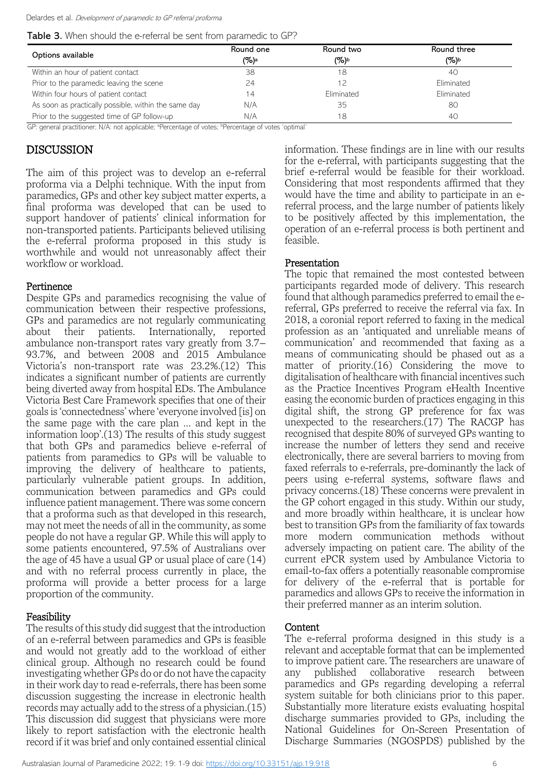Table 3. When should the e-referral be sent from paramedic to GP?

| Options available                                    | Round one<br>$(\%)^a$ | Round two<br>$(\%)^{\text{b}}$ | Round three<br>(%)b |
|------------------------------------------------------|-----------------------|--------------------------------|---------------------|
| Within an hour of patient contact                    | 38                    | 18                             | 40                  |
| Prior to the paramedic leaving the scene             | 24                    | 12                             | Eliminated          |
| Within four hours of patient contact                 | 14                    | Eliminated                     | Eliminated          |
| As soon as practically possible, within the same day | N/A                   | 35                             | 80                  |
| Prior to the suggested time of GP follow-up          | N/A                   | 18                             | 40                  |

GP: general practitioner; N/A: not applicable; <sup>a</sup>Percentage of votes; <sup>b</sup>Percentage of votes 'optimal'

# DISCUSSION

The aim of this project was to develop an e-referral proforma via a Delphi technique. With the input from paramedics, GPs and other key subject matter experts, a final proforma was developed that can be used to support handover of patients' clinical information for non-transported patients. Participants believed utilising the e-referral proforma proposed in this study is worthwhile and would not unreasonably affect their workflow or workload.

## Pertinence

Despite GPs and paramedics recognising the value of communication between their respective professions, GPs and paramedics are not regularly communicating about their patients. Internationally, reported ambulance non-transport rates vary greatly from 3.7– 93.7%, and between 2008 and 2015 Ambulance Victoria's non-transport rate was 23.2%.(12) This indicates a significant number of patients are currently being diverted away from hospital EDs. The Ambulance Victoria Best Care Framework specifies that one of their goals is 'connectedness' where 'everyone involved [is] on the same page with the care plan … and kept in the information loop'.(13) The results of this study suggest that both GPs and paramedics believe e-referral of patients from paramedics to GPs will be valuable to improving the delivery of healthcare to patients, particularly vulnerable patient groups. In addition, communication between paramedics and GPs could influence patient management. There was some concern that a proforma such as that developed in this research, may not meet the needs of all in the community, as some people do not have a regular GP. While this will apply to some patients encountered, 97.5% of Australians over the age of 45 have a usual GP or usual place of care (14) and with no referral process currently in place, the proforma will provide a better process for a large proportion of the community.

# Feasibility

The results of this study did suggest that the introduction of an e-referral between paramedics and GPs is feasible and would not greatly add to the workload of either clinical group. Although no research could be found investigating whether GPs do or do not have the capacity in their work day to read e-referrals, there has been some discussion suggesting the increase in electronic health records may actually add to the stress of a physician.(15) This discussion did suggest that physicians were more likely to report satisfaction with the electronic health record if it was brief and only contained essential clinical

information. These findings are in line with our results for the e-referral, with participants suggesting that the brief e-referral would be feasible for their workload. Considering that most respondents affirmed that they would have the time and ability to participate in an ereferral process, and the large number of patients likely to be positively affected by this implementation, the operation of an e-referral process is both pertinent and feasible.

## Presentation

The topic that remained the most contested between participants regarded mode of delivery. This research found that although paramedics preferred to email the ereferral, GPs preferred to receive the referral via fax. In 2018, a coronial report referred to faxing in the medical profession as an 'antiquated and unreliable means of communication' and recommended that faxing as a means of communicating should be phased out as a matter of priority.(16) Considering the move to digitalisation of healthcare with financial incentives such as the Practice Incentives Program eHealth Incentive easing the economic burden of practices engaging in this digital shift, the strong GP preference for fax was unexpected to the researchers.(17) The RACGP has recognised that despite 80% of surveyed GPs wanting to increase the number of letters they send and receive electronically, there are several barriers to moving from faxed referrals to e-referrals, pre-dominantly the lack of peers using e-referral systems, software flaws and privacy concerns.(18) These concerns were prevalent in the GP cohort engaged in this study. Within our study, and more broadly within healthcare, it is unclear how best to transition GPs from the familiarity of fax towards more modern communication methods without adversely impacting on patient care. The ability of the current ePCR system used by Ambulance Victoria to email-to-fax offers a potentially reasonable compromise for delivery of the e-referral that is portable for paramedics and allows GPs to receive the information in their preferred manner as an interim solution.

## Content

The e-referral proforma designed in this study is a relevant and acceptable format that can be implemented to improve patient care. The researchers are unaware of any published collaborative research between paramedics and GPs regarding developing a referral system suitable for both clinicians prior to this paper. Substantially more literature exists evaluating hospital discharge summaries provided to GPs, including the National Guidelines for On-Screen Presentation of Discharge Summaries (NGOSPDS) published by the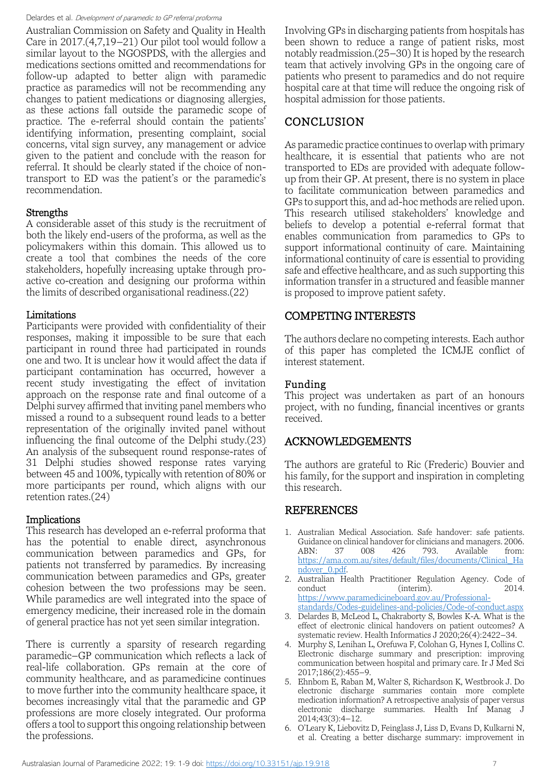Australian Commission on Safety and Quality in Health Care in 2017.(4,7,19–21) Our pilot tool would follow a similar layout to the NGOSPDS, with the allergies and medications sections omitted and recommendations for follow-up adapted to better align with paramedic practice as paramedics will not be recommending any changes to patient medications or diagnosing allergies, as these actions fall outside the paramedic scope of practice. The e-referral should contain the patients' identifying information, presenting complaint, social concerns, vital sign survey, any management or advice given to the patient and conclude with the reason for referral. It should be clearly stated if the choice of nontransport to ED was the patient's or the paramedic's recommendation.

#### Strengths

A considerable asset of this study is the recruitment of both the likely end-users of the proforma, as well as the policymakers within this domain. This allowed us to create a tool that combines the needs of the core stakeholders, hopefully increasing uptake through proactive co-creation and designing our proforma within the limits of described organisational readiness.(22)

#### Limitations

Participants were provided with confidentiality of their responses, making it impossible to be sure that each participant in round three had participated in rounds one and two. It is unclear how it would affect the data if participant contamination has occurred, however a recent study investigating the effect of invitation approach on the response rate and final outcome of a Delphi survey affirmed that inviting panel members who missed a round to a subsequent round leads to a better representation of the originally invited panel without influencing the final outcome of the Delphi study.(23) An analysis of the subsequent round response-rates of 31 Delphi studies showed response rates varying between 45 and 100%, typically with retention of 80% or more participants per round, which aligns with our retention rates.(24)

#### Implications

This research has developed an e-referral proforma that has the potential to enable direct, asynchronous communication between paramedics and GPs, for patients not transferred by paramedics. By increasing communication between paramedics and GPs, greater cohesion between the two professions may be seen. While paramedics are well integrated into the space of emergency medicine, their increased role in the domain of general practice has not yet seen similar integration.

There is currently a sparsity of research regarding paramedic–GP communication which reflects a lack of real-life collaboration. GPs remain at the core of community healthcare, and as paramedicine continues to move further into the community healthcare space, it becomes increasingly vital that the paramedic and GP professions are more closely integrated. Our proforma offers a tool to support this ongoing relationship between the professions.

Involving GPs in discharging patients from hospitals has been shown to reduce a range of patient risks, most notably readmission.(25–30) It is hoped by the research team that actively involving GPs in the ongoing care of patients who present to paramedics and do not require hospital care at that time will reduce the ongoing risk of hospital admission for those patients.

# CONCLUSION

As paramedic practice continues to overlap with primary healthcare, it is essential that patients who are not transported to EDs are provided with adequate followup from their GP. At present, there is no system in place to facilitate communication between paramedics and GPs to support this, and ad-hoc methods are relied upon. This research utilised stakeholders' knowledge and beliefs to develop a potential e-referral format that enables communication from paramedics to GPs to support informational continuity of care. Maintaining informational continuity of care is essential to providing safe and effective healthcare, and as such supporting this information transfer in a structured and feasible manner is proposed to improve patient safety.

## COMPETING INTERESTS

The authors declare no competing interests. Each author of this paper has completed the ICMJE conflict of interest statement.

#### Funding

This project was undertaken as part of an honours project, with no funding, financial incentives or grants received.

#### ACKNOWLEDGEMENTS

The authors are grateful to Ric (Frederic) Bouvier and his family, for the support and inspiration in completing this research.

## REFERENCES

- 1. Australian Medical Association. Safe handover: safe patients. Guidance on clinical handover for clinicians and managers. 2006.<br>ABN: 37 008 426 793. Available from: ABN: 37 008 426 793. Available from: [https://ama.com.au/sites/default/files/documents/Clinical\\_Ha](https://ama.com.au/sites/default/files/documents/Clinical_Handover_0.pdf) [ndover\\_0.pdf.](https://ama.com.au/sites/default/files/documents/Clinical_Handover_0.pdf)
- 2. Australian Health Practitioner Regulation Agency. Code of conduct (interim). 2014. [https://www.paramedicineboard.gov.au/Professional](https://www.paramedicineboard.gov.au/Professional-standards/Codes-guidelines-and-policies/Code-of-conduct.aspx)
	- [standards/Codes-guidelines-and-policies/Code-of-conduct.aspx](https://www.paramedicineboard.gov.au/Professional-standards/Codes-guidelines-and-policies/Code-of-conduct.aspx)
- 3. Delardes B, McLeod L, Chakraborty S, Bowles K-A. What is the effect of electronic clinical handovers on patient outcomes? A systematic review. Health Informatics J 2020;26(4):2422-34.
- 4. Murphy S, Lenihan L, Orefuwa F, Colohan G, Hynes I, Collins C. Electronic discharge summary and prescription: improving communication between hospital and primary care. Ir J Med Sci 2017;186(2):455–9.
- 5. Ehnbom E, Raban M, Walter S, Richardson K, Westbrook J. Do electronic discharge summaries contain more complete medication information? A retrospective analysis of paper versus electronic discharge summaries. Health Inf Manag J 2014;43(3):4–12.
- 6. O'Leary K, Liebovitz D, Feinglass J, Liss D, Evans D, Kulkarni N, et al. Creating a better discharge summary: improvement in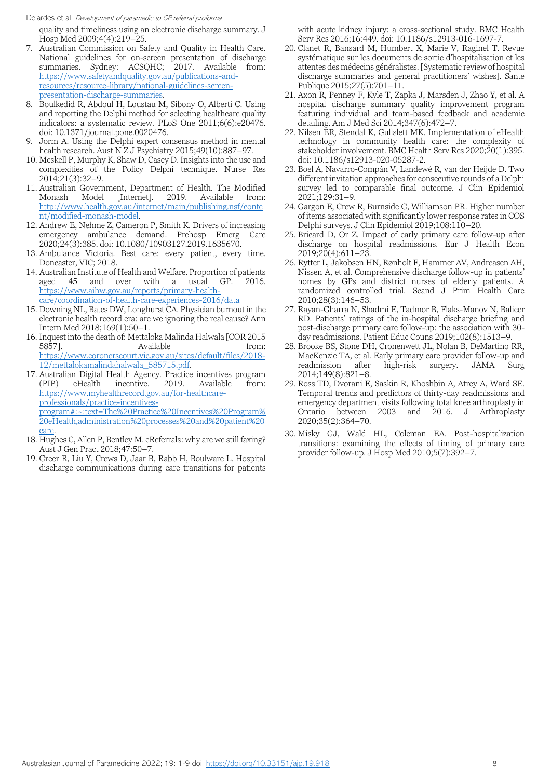quality and timeliness using an electronic discharge summary. J Hosp Med 2009;4(4):219–25.

- 7. Australian Commission on Safety and Quality in Health Care. National guidelines for on-screen presentation of discharge summaries. Sydney: ACSQHC; 2017. Available from: [https://www.safetyandquality.gov.au/publications-and](https://www.safetyandquality.gov.au/publications-and-resources/resource-library/national-guidelines-screen-presentation-discharge-summaries)[resources/resource-library/national-guidelines-screen](https://www.safetyandquality.gov.au/publications-and-resources/resource-library/national-guidelines-screen-presentation-discharge-summaries)[presentation-discharge-summaries.](https://www.safetyandquality.gov.au/publications-and-resources/resource-library/national-guidelines-screen-presentation-discharge-summaries)
- 8. Boulkedid R, Abdoul H, Loustau M, Sibony O, Alberti C. Using and reporting the Delphi method for selecting healthcare quality indicators: a systematic review. PLoS One 2011;6(6):e20476. doi: 10.1371/journal.pone.0020476.
- 9. Jorm A. Using the Delphi expert consensus method in mental health research. Aust N Z J Psychiatry 2015;49(10):887–97.
- 10. Meskell P, Murphy K, Shaw D, Casey D. Insights into the use and complexities of the Policy Delphi technique. Nurse Res 2014;21(3):32–9.
- 11. Australian Government, Department of Health. The Modified 2019. Available [http://www.health.gov.au/internet/main/publishing.nsf/conte](http://www.health.gov.au/internet/main/publishing.nsf/content/modified-monash-model) [nt/modified-monash-model.](http://www.health.gov.au/internet/main/publishing.nsf/content/modified-monash-model)
- 12. Andrew E, Nehme Z, Cameron P, Smith K. Drivers of increasing emergency ambulance demand. Prehosp Emerg Care 2020;24(3):385. doi: 10.1080/10903127.2019.1635670.
- 13. Ambulance Victoria. Best care: every patient, every time. Doncaster, VIC; 2018.
- 14. Australian Institute of Health and Welfare. Proportion of patients aged 45 and over with a usual GP. 2016. [https://www.aihw.gov.au/reports/primary-health](https://www.aihw.gov.au/reports/primary-health-care/coordination-of-health-care-experiences-2016/data)[care/coordination-of-health-care-experiences-2016/data](https://www.aihw.gov.au/reports/primary-health-care/coordination-of-health-care-experiences-2016/data)
- 15. Downing NL, Bates DW, Longhurst CA. Physician burnout in the electronic health record era: are we ignoring the real cause? Ann Intern Med 2018;169(1):50–1.
- 16. Inquest into the death of: Mettaloka Malinda Halwala [COR 2015 5857]. Available from: [https://www.coronerscourt.vic.gov.au/sites/default/files/2018-](https://www.coronerscourt.vic.gov.au/sites/default/files/2018-12/mettalokamalindahalwala_585715.pdf) [12/mettalokamalindahalwala\\_585715.pdf.](https://www.coronerscourt.vic.gov.au/sites/default/files/2018-12/mettalokamalindahalwala_585715.pdf)
- 17. Australian Digital Health Agency. Practice incentives program (PIP) eHealth incentive. 2019. Available from: [https://www.myhealthrecord.gov.au/for-healthcare](https://www.myhealthrecord.gov.au/for-healthcare-professionals/practice-incentives-program#:~:text=The%20Practice%20Incentives%20Program%20eHealth,administration%20processes%20and%20patient%20care)[professionals/practice-incentives](https://www.myhealthrecord.gov.au/for-healthcare-professionals/practice-incentives-program#:~:text=The%20Practice%20Incentives%20Program%20eHealth,administration%20processes%20and%20patient%20care)[program#:~:text=The%20Practice%20Incentives%20Program%](https://www.myhealthrecord.gov.au/for-healthcare-professionals/practice-incentives-program#:~:text=The%20Practice%20Incentives%20Program%20eHealth,administration%20processes%20and%20patient%20care) [20eHealth,administration%20processes%20and%20patient%20](https://www.myhealthrecord.gov.au/for-healthcare-professionals/practice-incentives-program#:~:text=The%20Practice%20Incentives%20Program%20eHealth,administration%20processes%20and%20patient%20care)
- [care.](https://www.myhealthrecord.gov.au/for-healthcare-professionals/practice-incentives-program#:~:text=The%20Practice%20Incentives%20Program%20eHealth,administration%20processes%20and%20patient%20care) 18. Hughes C, Allen P, Bentley M. eReferrals: why are we still faxing? Aust J Gen Pract 2018;47:50–7.
- 19. Greer R, Liu Y, Crews D, Jaar B, Rabb H, Boulware L. Hospital discharge communications during care transitions for patients

with acute kidney injury: a cross-sectional study. BMC Health Serv Res 2016;16:449. doi: 10.1186/s12913-016-1697-7.

- 20. Clanet R, Bansard M, Humbert X, Marie V, Raginel T. Revue systématique sur les documents de sortie d'hospitalisation et les attentes des médecins généralistes. [Systematic review of hospital discharge summaries and general practitioners' wishes]. Sante Publique 2015;27(5):701–11.
- 21. Axon R, Penney F, Kyle T, Zapka J, Marsden J, Zhao Y, et al. A hospital discharge summary quality improvement program featuring individual and team-based feedback and academic detailing. Am J Med Sci 2014;347(6):472–7.
- 22. Nilsen ER, Stendal K, Gullslett MK. Implementation of eHealth technology in community health care: the complexity of stakeholder involvement. BMC Health Serv Res 2020;20(1):395. doi: 10.1186/s12913-020-05287-2.
- 23. Boel A, Navarro-Compán V, Landewé R, van der Heijde D. Two different invitation approaches for consecutive rounds of a Delphi survey led to comparable final outcome. J Clin Epidemiol 2021;129:31–9.
- 24. Gargon E, Crew R, Burnside G, Williamson PR. Higher number of items associated with significantly lower response rates in COS Delphi surveys. J Clin Epidemiol 2019;108:110–20.
- 25. Bricard D, Or Z. Impact of early primary care follow-up after discharge on hospital readmissions. Eur J Health Econ 2019;20(4):611–23.
- 26. Rytter L, Jakobsen HN, Rønholt F, Hammer AV, Andreasen AH, Nissen A, et al. Comprehensive discharge follow-up in patients' homes by GPs and district nurses of elderly patients. A randomized controlled trial. Scand J Prim Health Care 2010;28(3):146–53.
- 27. Rayan-Gharra N, Shadmi E, Tadmor B, Flaks-Manov N, Balicer RD. Patients' ratings of the in-hospital discharge briefing and post-discharge primary care follow-up: the association with 30 day readmissions. Patient Educ Couns 2019;102(8):1513–9.
- 28. Brooke BS, Stone DH, Cronenwett JL, Nolan B, DeMartino RR, MacKenzie TA, et al. Early primary care provider follow-up and readmission after high-risk surgery. JAMA Surg 2014;149(8):821–8.
- 29. Ross TD, Dvorani E, Saskin R, Khoshbin A, Atrey A, Ward SE. Temporal trends and predictors of thirty-day readmissions and emergency department visits following total knee arthroplasty in Ontario between 2003 and 2016. J Arthroplasty 2020;35(2):364–70.
- 30. Misky GJ, Wald HL, Coleman EA. Post-hospitalization transitions: examining the effects of timing of primary care provider follow-up. J Hosp Med 2010;5(7):392–7.